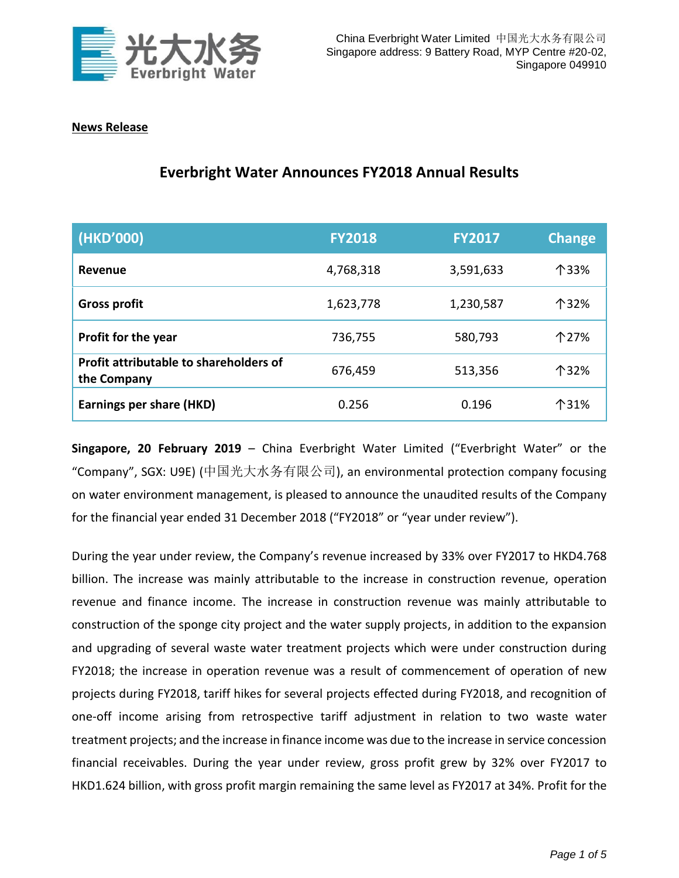

## **News Release**

# **Everbright Water Announces FY2018 Annual Results**

| (HKD'000)                                             | <b>FY2018</b> | <b>FY2017</b> | <b>Change</b> |
|-------------------------------------------------------|---------------|---------------|---------------|
| Revenue                                               | 4,768,318     | 3,591,633     | 个33%          |
| <b>Gross profit</b>                                   | 1,623,778     | 1,230,587     | 个32%          |
| Profit for the year                                   | 736,755       | 580,793       | 个27%          |
| Profit attributable to shareholders of<br>the Company | 676,459       | 513,356       | 个32%          |
| <b>Earnings per share (HKD)</b>                       | 0.256         | 0.196         | 个31%          |

**Singapore, 20 February 2019** – China Everbright Water Limited ("Everbright Water" or the "Company", SGX: U9E) (中国光大水务有限公司), an environmental protection company focusing on water environment management, is pleased to announce the unaudited results of the Company for the financial year ended 31 December 2018 ("FY2018" or "year under review").

During the year under review, the Company's revenue increased by 33% over FY2017 to HKD4.768 billion. The increase was mainly attributable to the increase in construction revenue, operation revenue and finance income. The increase in construction revenue was mainly attributable to construction of the sponge city project and the water supply projects, in addition to the expansion and upgrading of several waste water treatment projects which were under construction during FY2018; the increase in operation revenue was a result of commencement of operation of new projects during FY2018, tariff hikes for several projects effected during FY2018, and recognition of one-off income arising from retrospective tariff adjustment in relation to two waste water treatment projects; and the increase in finance income was due to the increase in service concession financial receivables. During the year under review, gross profit grew by 32% over FY2017 to HKD1.624 billion, with gross profit margin remaining the same level as FY2017 at 34%. Profit for the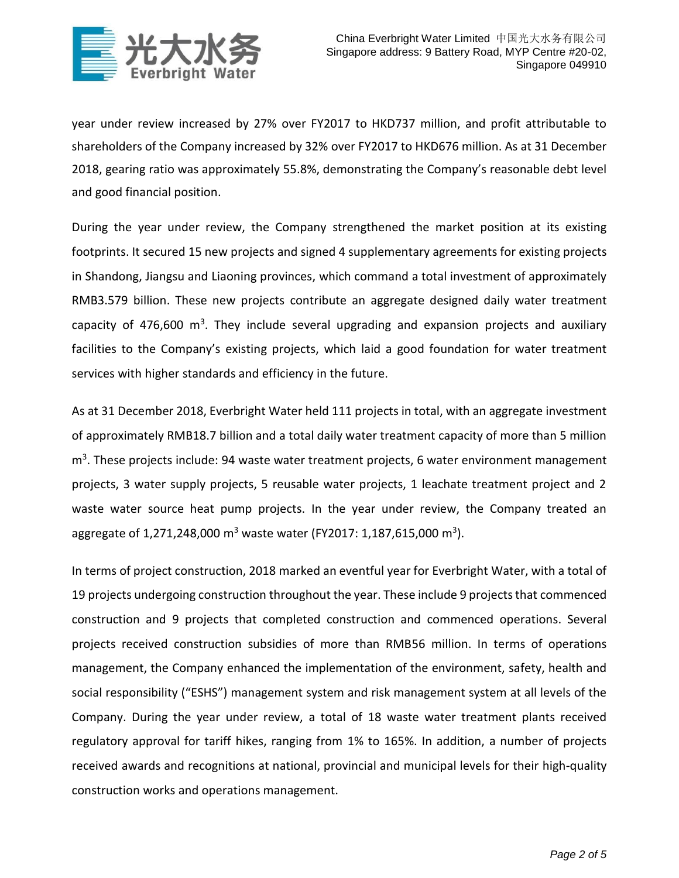

year under review increased by 27% over FY2017 to HKD737 million, and profit attributable to shareholders of the Company increased by 32% over FY2017 to HKD676 million. As at 31 December 2018, gearing ratio was approximately 55.8%, demonstrating the Company's reasonable debt level and good financial position.

During the year under review, the Company strengthened the market position at its existing footprints. It secured 15 new projects and signed 4 supplementary agreements for existing projects in Shandong, Jiangsu and Liaoning provinces, which command a total investment of approximately RMB3.579 billion. These new projects contribute an aggregate designed daily water treatment capacity of 476,600  $m^3$ . They include several upgrading and expansion projects and auxiliary facilities to the Company's existing projects, which laid a good foundation for water treatment services with higher standards and efficiency in the future.

As at 31 December 2018, Everbright Water held 111 projects in total, with an aggregate investment of approximately RMB18.7 billion and a total daily water treatment capacity of more than 5 million m<sup>3</sup>. These projects include: 94 waste water treatment projects, 6 water environment management projects, 3 water supply projects, 5 reusable water projects, 1 leachate treatment project and 2 waste water source heat pump projects. In the year under review, the Company treated an aggregate of 1,271,248,000 m<sup>3</sup> waste water (FY2017: 1,187,615,000 m<sup>3</sup>).

In terms of project construction, 2018 marked an eventful year for Everbright Water, with a total of 19 projects undergoing construction throughout the year. These include 9 projects that commenced construction and 9 projects that completed construction and commenced operations. Several projects received construction subsidies of more than RMB56 million. In terms of operations management, the Company enhanced the implementation of the environment, safety, health and social responsibility ("ESHS") management system and risk management system at all levels of the Company. During the year under review, a total of 18 waste water treatment plants received regulatory approval for tariff hikes, ranging from 1% to 165%. In addition, a number of projects received awards and recognitions at national, provincial and municipal levels for their high-quality construction works and operations management.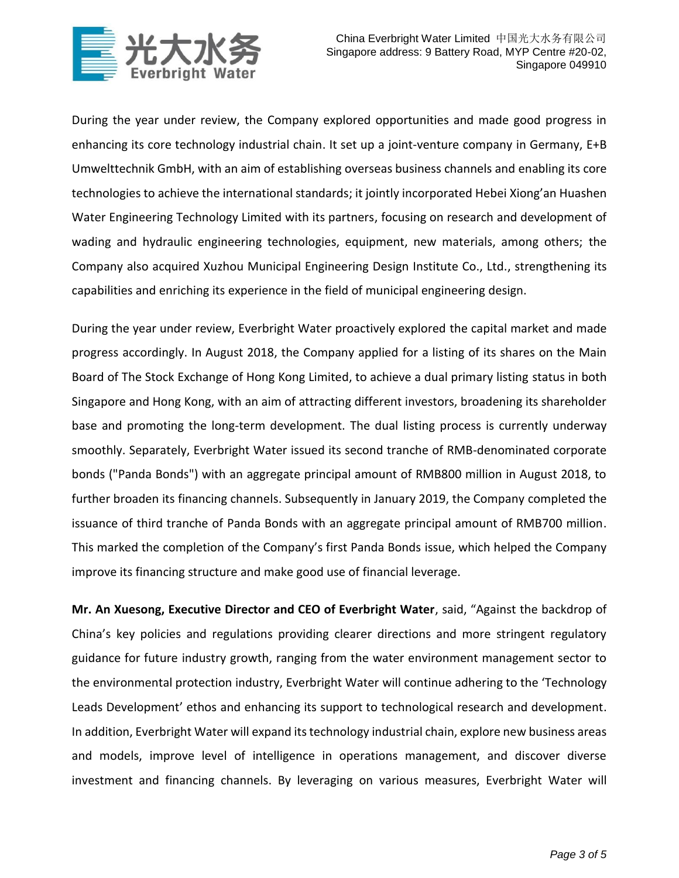

During the year under review, the Company explored opportunities and made good progress in enhancing its core technology industrial chain. It set up a joint-venture company in Germany, E+B Umwelttechnik GmbH, with an aim of establishing overseas business channels and enabling its core technologies to achieve the international standards; it jointly incorporated Hebei Xiong'an Huashen Water Engineering Technology Limited with its partners, focusing on research and development of wading and hydraulic engineering technologies, equipment, new materials, among others; the Company also acquired Xuzhou Municipal Engineering Design Institute Co., Ltd., strengthening its capabilities and enriching its experience in the field of municipal engineering design.

During the year under review, Everbright Water proactively explored the capital market and made progress accordingly. In August 2018, the Company applied for a listing of its shares on the Main Board of The Stock Exchange of Hong Kong Limited, to achieve a dual primary listing status in both Singapore and Hong Kong, with an aim of attracting different investors, broadening its shareholder base and promoting the long-term development. The dual listing process is currently underway smoothly. Separately, Everbright Water issued its second tranche of RMB-denominated corporate bonds ("Panda Bonds") with an aggregate principal amount of RMB800 million in August 2018, to further broaden its financing channels. Subsequently in January 2019, the Company completed the issuance of third tranche of Panda Bonds with an aggregate principal amount of RMB700 million. This marked the completion of the Company's first Panda Bonds issue, which helped the Company improve its financing structure and make good use of financial leverage.

**Mr. An Xuesong, Executive Director and CEO of Everbright Water**, said, "Against the backdrop of China's key policies and regulations providing clearer directions and more stringent regulatory guidance for future industry growth, ranging from the water environment management sector to the environmental protection industry, Everbright Water will continue adhering to the 'Technology Leads Development' ethos and enhancing its support to technological research and development. In addition, Everbright Water will expand its technology industrial chain, explore new business areas and models, improve level of intelligence in operations management, and discover diverse investment and financing channels. By leveraging on various measures, Everbright Water will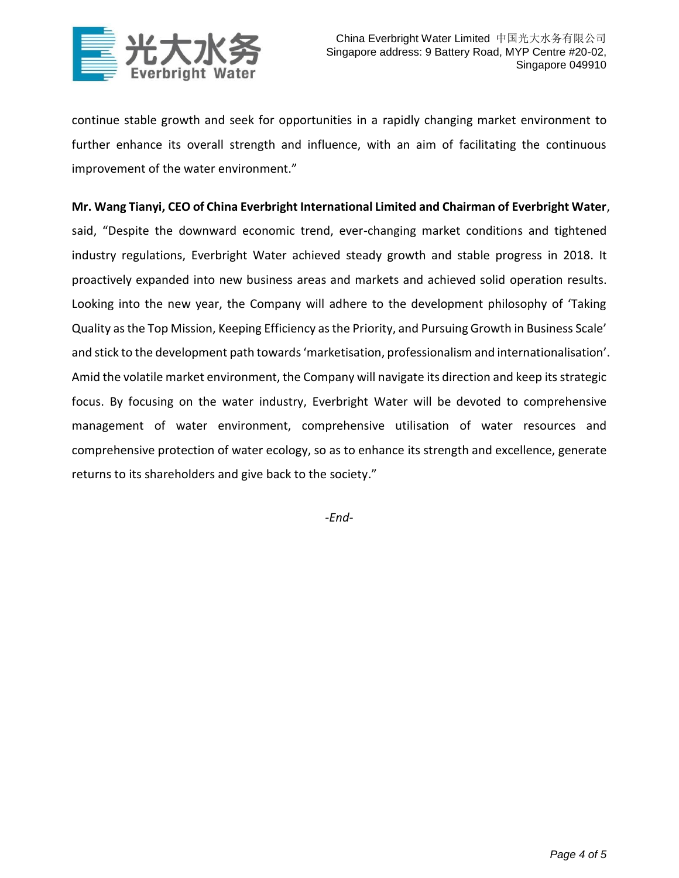

continue stable growth and seek for opportunities in a rapidly changing market environment to further enhance its overall strength and influence, with an aim of facilitating the continuous improvement of the water environment."

## **Mr. Wang Tianyi, CEO of China Everbright International Limited and Chairman of Everbright Water**,

said, "Despite the downward economic trend, ever-changing market conditions and tightened industry regulations, Everbright Water achieved steady growth and stable progress in 2018. It proactively expanded into new business areas and markets and achieved solid operation results. Looking into the new year, the Company will adhere to the development philosophy of 'Taking Quality as the Top Mission, Keeping Efficiency as the Priority, and Pursuing Growth in Business Scale' and stick to the development path towards 'marketisation, professionalism and internationalisation'. Amid the volatile market environment, the Company will navigate its direction and keep its strategic focus. By focusing on the water industry, Everbright Water will be devoted to comprehensive management of water environment, comprehensive utilisation of water resources and comprehensive protection of water ecology, so as to enhance its strength and excellence, generate returns to its shareholders and give back to the society."

*-End-*